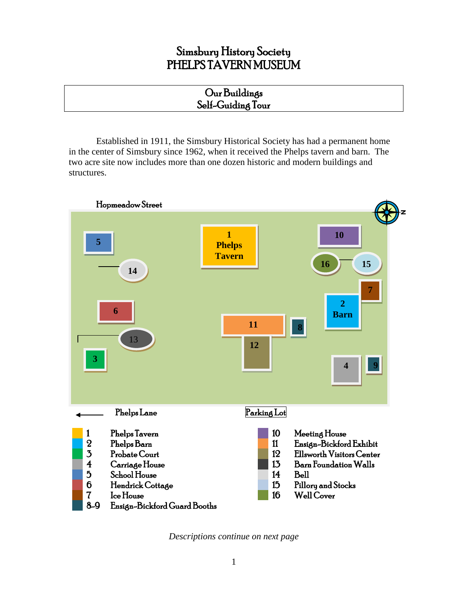# Simsbury History Society PHELPS TAVERN MUSEUM

| Our Buildings     |  |
|-------------------|--|
| Self-Guiding Tour |  |
|                   |  |

Established in 1911, the Simsbury Historical Society has had a permanent home in the center of Simsbury since 1962, when it received the Phelps tavern and barn. The two acre site now includes more than one dozen historic and modern buildings and structures.



*Descriptions continue on next page*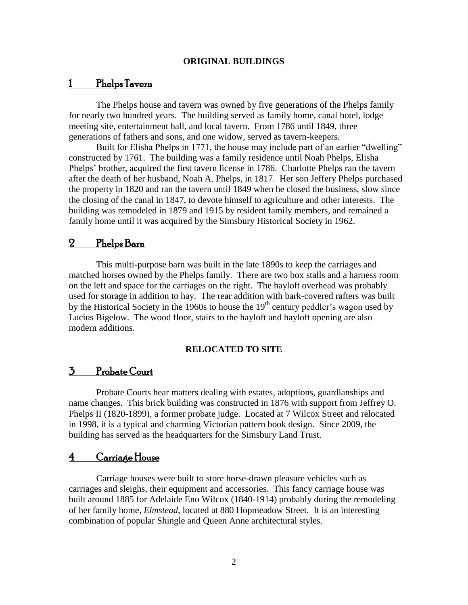#### **ORIGINAL BUILDINGS**

### 1 Phelps Tavern

The Phelps house and tavern was owned by five generations of the Phelps family for nearly two hundred years. The building served as family home, canal hotel, lodge meeting site, entertainment hall, and local tavern. From 1786 until 1849, three generations of fathers and sons, and one widow, served as tavern-keepers.

Built for Elisha Phelps in 1771, the house may include part of an earlier "dwelling" constructed by 1761. The building was a family residence until Noah Phelps, Elisha Phelps' brother, acquired the first tavern license in 1786. Charlotte Phelps ran the tavern after the death of her husband, Noah A. Phelps, in 1817. Her son Jeffery Phelps purchased the property in 1820 and ran the tavern until 1849 when he closed the business, slow since the closing of the canal in 1847, to devote himself to agriculture and other interests. The building was remodeled in 1879 and 1915 by resident family members, and remained a family home until it was acquired by the Simsbury Historical Society in 1962.

### 2 Phelps Barn

This multi-purpose barn was built in the late 1890s to keep the carriages and matched horses owned by the Phelps family. There are two box stalls and a harness room on the left and space for the carriages on the right. The hayloft overhead was probably used for storage in addition to hay. The rear addition with bark-covered rafters was built by the Historical Society in the 1960s to house the  $19<sup>th</sup>$  century peddler's wagon used by Lucius Bigelow. The wood floor, stairs to the hayloft and hayloft opening are also modern additions.

#### **RELOCATED TO SITE**

### 3 Probate Court

Probate Courts hear matters dealing with estates, adoptions, guardianships and name changes. This brick building was constructed in 1876 with support from Jeffrey O. Phelps II (1820-1899), a former probate judge. Located at 7 Wilcox Street and relocated in 1998, it is a typical and charming Victorian pattern book design. Since 2009, the building has served as the headquarters for the Simsbury Land Trust.

### 4 Carriage House

Carriage houses were built to store horse-drawn pleasure vehicles such as carriages and sleighs, their equipment and accessories. This fancy carriage house was built around 1885 for Adelaide Eno Wilcox (1840-1914) probably during the remodeling of her family home, *Elmstead*, located at 880 Hopmeadow Street. It is an interesting combination of popular Shingle and Queen Anne architectural styles.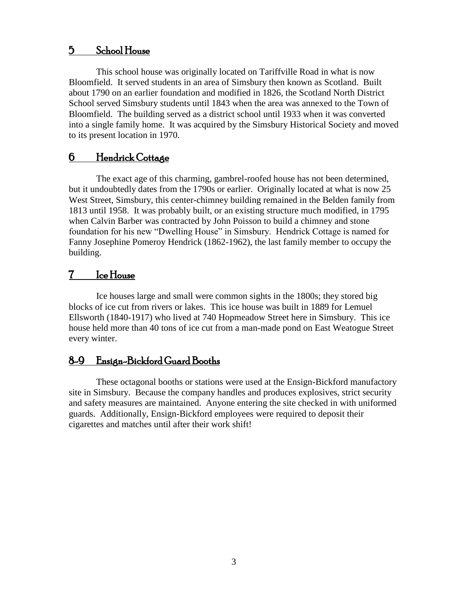### 5 School House

This school house was originally located on Tariffville Road in what is now Bloomfield. It served students in an area of Simsbury then known as Scotland. Built about 1790 on an earlier foundation and modified in 1826, the Scotland North District School served Simsbury students until 1843 when the area was annexed to the Town of Bloomfield. The building served as a district school until 1933 when it was converted into a single family home. It was acquired by the Simsbury Historical Society and moved to its present location in 1970.

## 6 Hendrick Cottage

The exact age of this charming, gambrel-roofed house has not been determined, but it undoubtedly dates from the 1790s or earlier. Originally located at what is now 25 West Street, Simsbury, this center-chimney building remained in the Belden family from 1813 until 1958. It was probably built, or an existing structure much modified, in 1795 when Calvin Barber was contracted by John Poisson to build a chimney and stone foundation for his new "Dwelling House" in Simsbury. Hendrick Cottage is named for Fanny Josephine Pomeroy Hendrick (1862-1962), the last family member to occupy the building.

## 7 Ice House

Ice houses large and small were common sights in the 1800s; they stored big blocks of ice cut from rivers or lakes. This ice house was built in 1889 for Lemuel Ellsworth (1840-1917) who lived at 740 Hopmeadow Street here in Simsbury. This ice house held more than 40 tons of ice cut from a man-made pond on East Weatogue Street every winter.

## 8-9 Ensign-Bickford Guard Booths

These octagonal booths or stations were used at the Ensign-Bickford manufactory site in Simsbury. Because the company handles and produces explosives, strict security and safety measures are maintained. Anyone entering the site checked in with uniformed guards. Additionally, Ensign-Bickford employees were required to deposit their cigarettes and matches until after their work shift!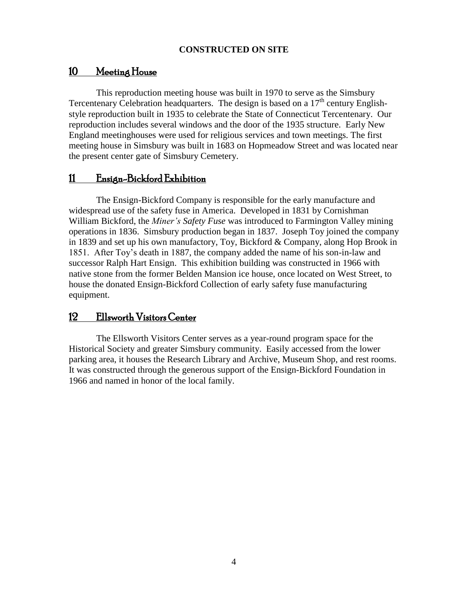#### **CONSTRUCTED ON SITE**

### 10 Meeting House

This reproduction meeting house was built in 1970 to serve as the Simsbury Tercentenary Celebration headquarters. The design is based on a  $17<sup>th</sup>$  century Englishstyle reproduction built in 1935 to celebrate the State of Connecticut Tercentenary. Our reproduction includes several windows and the door of the 1935 structure. Early New England meetinghouses were used for religious services and town meetings. The first meeting house in Simsbury was built in 1683 on Hopmeadow Street and was located near the present center gate of Simsbury Cemetery.

### 11 Ensign-Bickford Exhibition

The Ensign-Bickford Company is responsible for the early manufacture and widespread use of the safety fuse in America. Developed in 1831 by Cornishman William Bickford, the *Miner's Safety Fuse* was introduced to Farmington Valley mining operations in 1836. Simsbury production began in 1837. Joseph Toy joined the company in 1839 and set up his own manufactory, Toy, Bickford & Company, along Hop Brook in 1851. After Toy's death in 1887, the company added the name of his son-in-law and successor Ralph Hart Ensign.This exhibition building was constructed in 1966 with native stone from the former Belden Mansion ice house, once located on West Street, to house the donated Ensign-Bickford Collection of early safety fuse manufacturing equipment.

### 12 Ellsworth Visitors Center

The Ellsworth Visitors Center serves as a year-round program space for the Historical Society and greater Simsbury community. Easily accessed from the lower parking area, it houses the Research Library and Archive, Museum Shop, and rest rooms. It was constructed through the generous support of the Ensign-Bickford Foundation in 1966 and named in honor of the local family.